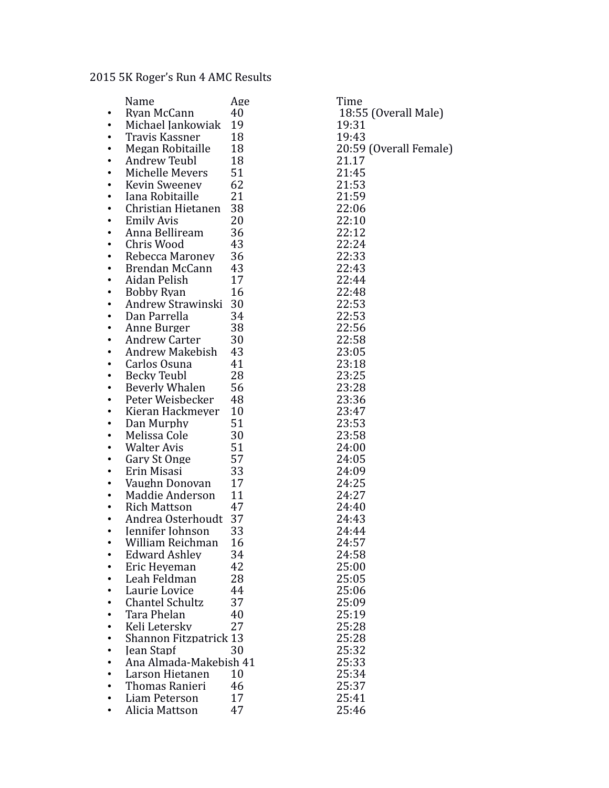## 2015 5K Roger's Run 4 AMC Results

|   | Name                           | Age      | Time                   |
|---|--------------------------------|----------|------------------------|
|   | Rvan McCann                    | 40       | 18:55 (Overall Male)   |
|   | Michael Jankowiak              | 19       | 19:31                  |
|   | Travis Kassner                 | 18       | 19:43                  |
|   | Megan Robitaille               | 18       | 20:59 (Overall Female) |
|   | Andrew Teubl                   | 18       | 21.17                  |
|   | Michelle Mevers                | 51       | 21:45                  |
|   | Kevin Sweenev                  | 62       | 21:53                  |
|   | Iana Robitaille                | 21       | 21:59                  |
|   | Christian Hietanen             | 38       | 22:06                  |
|   | <b>Emily Avis</b>              | 20       | 22:10                  |
|   | Anna Belliream                 | 36       | 22:12                  |
|   | Chris Wood                     | 43       | 22:24                  |
|   | Rebecca Maronev                | 36       | 22:33                  |
|   | Brendan McCann                 | 43       | 22:43                  |
|   | Aidan Pelish                   | 17       | 22:44                  |
|   | Bobby Ryan                     | 16       | 22:48                  |
|   | Andrew Strawinski 30           |          | 22:53                  |
|   | Dan Parrella                   | 34       | 22:53                  |
|   | Anne Burger                    | 38       | 22:56                  |
|   | Andrew Carter                  | 30       | 22:58                  |
|   | Andrew Makebish                | 43       | 23:05                  |
|   | Carlos Osuna                   | 41       | 23:18                  |
|   | <b>Becky Teubl</b>             | 28       | 23:25                  |
|   | Beverly Whalen                 | 56       | 23:28                  |
|   | Peter Weisbecker               | 48<br>10 | 23:36                  |
|   | Kieran Hackmever<br>Dan Murphy | 51       | 23:47                  |
|   | Melissa Cole                   | 30       | 23:53<br>23:58         |
|   | Walter Avis                    | 51       | 24:00                  |
|   | Gary St Onge                   | 57       | 24:05                  |
|   | Erin Misasi                    | 33       | 24:09                  |
|   | Vaughn Donovan                 | 17       | 24:25                  |
|   | Maddie Anderson                | 11       | 24:27                  |
|   | <b>Rich Mattson</b>            | 47       | 24:40                  |
| ٠ | Andrea Osterhoudt 37           |          | 24:43                  |
|   | Jennifer Johnson               | 33       | 24:44                  |
|   | William Reichman               | 16       | 24:57                  |
|   | <b>Edward Ashley</b>           | 34       | 24:58                  |
|   | Eric Heveman                   | 42       | 25:00                  |
|   | Leah Feldman                   | 28       | 25:05                  |
|   | Laurie Lovice                  | 44       | 25:06                  |
|   | <b>Chantel Schultz</b>         | 37       | 25:09                  |
|   | Tara Phelan                    | 40       | 25:19                  |
|   | Keli Letersky                  | 27       | 25:28                  |
|   | <b>Shannon Fitzpatrick 13</b>  |          | 25:28                  |
|   | <b>Jean Stapf</b>              | 30       | 25:32                  |
|   | Ana Almada-Makebish 41         |          | 25:33                  |
|   | Larson Hietanen                | 10       | 25:34                  |
|   | Thomas Ranieri                 | 46       | 25:37                  |
|   | Liam Peterson                  | 17       | 25:41                  |
| ٠ | Alicia Mattson                 | 47       | 25:46                  |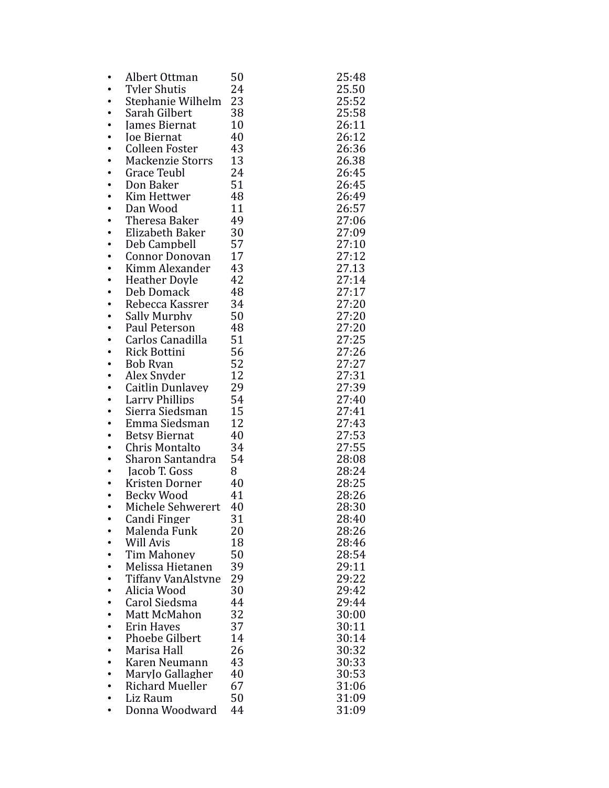| ٠ | Albert Ottman                       | 50       | 25:48          |
|---|-------------------------------------|----------|----------------|
|   | Tyler Shutis                        | 24       | 25.50          |
|   | Stephanie Wilhelm                   | 23       | 25:52          |
|   | Sarah Gilbert                       | 38       | 25:58          |
|   | James Biernat                       | 10       | 26:11          |
|   | <b>Joe Biernat</b>                  | 40       | 26:12          |
|   | Colleen Foster                      | 43       | 26:36          |
|   | <b>Mackenzie Storrs</b>             | 13       | 26.38          |
|   | <b>Grace Teubl</b>                  | 24       | 26:45          |
|   | Don Baker                           | 51       | 26:45          |
|   | Kim Hettwer                         | 48       | 26:49          |
|   | Dan Wood                            | 11       | 26:57          |
|   | Theresa Baker                       | 49       | 27:06          |
|   | Elizabeth Baker                     | 30       | 27:09          |
|   | Deb Campbell                        | 57<br>17 | 27:10          |
|   | Connor Donovan<br>Kimm Alexander    | 43       | 27:12<br>27.13 |
|   | <b>Heather Dovle</b>                | 42       | 27:14          |
|   | Deb Domack                          | 48       | 27:17          |
|   | Rebecca Kassrer                     | 34       | 27:20          |
|   | Sally Murphy                        | 50       | 27:20          |
|   | Paul Peterson                       | 48       | 27:20          |
|   | Carlos Canadilla                    | 51       | 27:25          |
|   | <b>Rick Bottini</b>                 | 56       | 27:26          |
|   | <b>Bob Ryan</b>                     | 52       | 27:27          |
|   | Alex Snyder                         | 12       | 27:31          |
|   | Caitlin Dunlavev                    | 29       | 27:39          |
|   | <b>Larry Phillips</b>               | 54       | 27:40          |
|   | Sierra Siedsman                     | 15       | 27:41          |
|   | Emma Siedsman                       | 12       | 27:43          |
|   | <b>Betsy Biernat</b>                | 40       | 27:53          |
|   | Chris Montalto                      | 34       | 27:55          |
|   | Sharon Santandra                    | 54       | 28:08          |
|   | Jacob T. Goss                       | 8        | 28:24          |
|   | Kristen Dorner<br><b>Becky Wood</b> | 40<br>41 | 28:25<br>28:26 |
|   | Michele Sehwerert                   | 40       | 28:30          |
|   | Candi Finger                        | 31       | 28:40          |
|   | Malenda Funk                        | 20       | 28:26          |
|   | Will Avis                           | 18       | 28:46          |
|   | Tim Mahonev                         | 50       | 28:54          |
|   | Melissa Hietanen                    | 39       | 29:11          |
|   | Tiffany VanAlstyne                  | 29       | 29:22          |
|   | Alicia Wood                         | 30       | 29:42          |
|   | Carol Siedsma                       | 44       | 29:44          |
|   | Matt McMahon                        | 32       | 30:00          |
|   | <b>Erin Haves</b>                   | 37       | 30:11          |
|   | <b>Phoebe Gilbert</b>               | 14       | 30:14          |
|   | Marisa Hall                         | 26       | 30:32          |
|   | Karen Neumann                       | 43       | 30:33          |
|   | Marylo Gallagher                    | 40       | 30:53          |
|   | <b>Richard Mueller</b>              | 67       | 31:06          |
|   | Liz Raum                            | 50       | 31:09          |
|   | Donna Woodward                      | 44       | 31:09          |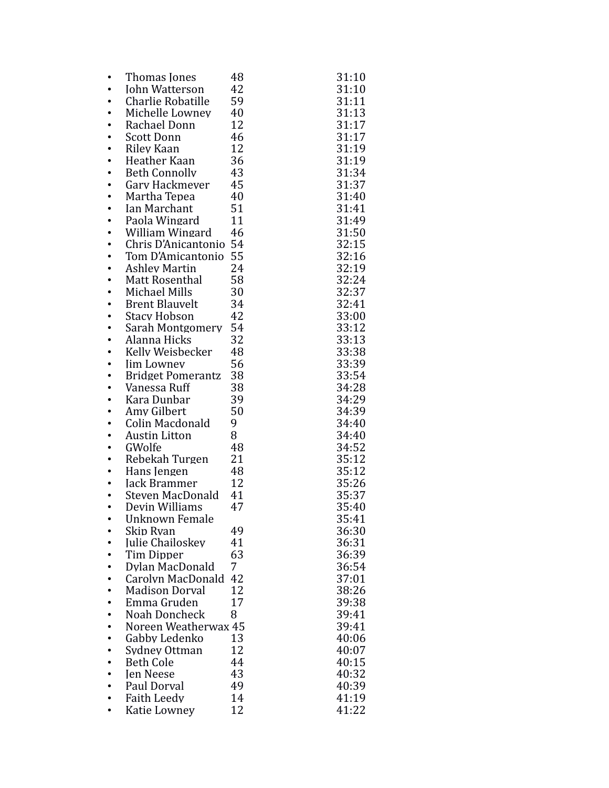|           | Thomas Jones                                   | 48   | 31:10          |
|-----------|------------------------------------------------|------|----------------|
|           | <b>John Watterson</b>                          | 42   | 31:10          |
|           | Charlie Robatille                              | 59   | 31:11          |
|           | Michelle Lownev                                | 40   | 31:13          |
|           | Rachael Donn                                   | 12   | 31:17          |
|           | <b>Scott Donn</b>                              | 46   | 31:17          |
|           | Riley Kaan                                     | 12   | 31:19          |
|           | Heather Kaan                                   | 36   | 31:19          |
|           | <b>Beth Connolly</b>                           | 43   | 31:34          |
|           | Gary Hackmever                                 | 45   | 31:37          |
|           | Martha Tepea                                   | - 40 | 31:40          |
|           | Ian Marchant                                   | 51   | 31:41          |
|           | Paola Wingard                                  | 11   | 31:49          |
|           | William Wingard                                | 46   | 31:50<br>32:15 |
|           | Chris D'Anicantonio 54<br>Tom D'Amicantonio 55 |      | 32:16          |
|           | <b>Ashley Martin</b>                           | 24   | 32:19          |
| $\bullet$ | Matt Rosenthal                                 | 58   | 32:24          |
| $\bullet$ | Michael Mills                                  | 30   | 32:37          |
|           | <b>Brent Blauvelt</b>                          | 34   | 32:41          |
|           | <b>Stacy Hobson</b>                            | 42   | 33:00          |
|           | Sarah Montgomery                               | 54   | 33:12          |
|           | Alanna Hicks                                   | 32   | 33:13          |
|           | Kelly Weisbecker                               | 48   | 33:38          |
|           | <b>Jim Lowney</b>                              | 56   | 33:39          |
|           | <b>Bridget Pomerantz</b>                       | 38   | 33:54          |
|           | Vanessa Ruff                                   | 38   | 34:28          |
|           | Kara Dunbar                                    | 39   | 34:29          |
|           | Amy Gilbert                                    | 50   | 34:39          |
|           | Colin Macdonald                                | 9    | 34:40          |
|           | <b>Austin Litton</b>                           | 8    | 34:40          |
| ٠         | GWolfe                                         | 48   | 34:52          |
| ٠         | Rebekah Turgen                                 | 21   | 35:12          |
| ٠         | Hans Jengen                                    | 48   | 35:12          |
| ٠         | Jack Brammer                                   | 12   | 35:26          |
|           | Steven MacDonald 41<br>Devin Williams          | 47   | 35:37<br>35:40 |
|           | Unknown Female                                 |      |                |
|           | Skip Ryan                                      | 49   | 35:41<br>36:30 |
|           | <b>Julie Chailoskev</b>                        | 41   | 36:31          |
|           | Tim Dipper                                     | 63   | 36:39          |
|           | Dylan MacDonald                                | 7    | 36:54          |
|           | Carolyn MacDonald                              | 42   | 37:01          |
|           | <b>Madison Dorval</b>                          | 12   | 38:26          |
|           | Emma Gruden                                    | 17   | 39:38          |
|           | Noah Doncheck                                  | 8    | 39:41          |
|           | Noreen Weatherwax 45                           |      | 39:41          |
|           | Gabby Ledenko                                  | 13   | 40:06          |
|           | Sydney Ottman                                  | 12   | 40:07          |
|           | <b>Beth Cole</b>                               | 44   | 40:15          |
|           | <b>Jen Neese</b>                               | 43   | 40:32          |
|           | Paul Dorval                                    | 49   | 40:39          |
|           | Faith Leedv                                    | 14   | 41:19          |
|           | Katie Lowney                                   | 12   | 41:22          |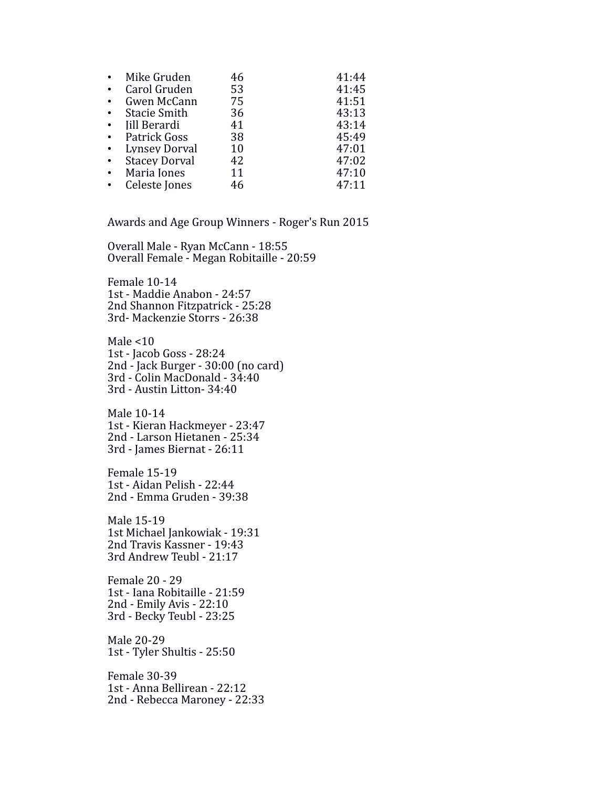| Mike Gruden          | 46 | 41:44 |
|----------------------|----|-------|
| Carol Gruden         | 53 | 41:45 |
| Gwen McCann          | 75 | 41:51 |
| <b>Stacie Smith</b>  | 36 | 43:13 |
| Iill Berardi         | 41 | 43:14 |
| Patrick Goss         | 38 | 45:49 |
| Lynsey Dorval        | 10 | 47:01 |
| <b>Stacey Dorval</b> | 42 | 47:02 |
| Maria Jones          | 11 | 47:10 |
| Celeste Jones        | 46 | 47:11 |

Awards and Age Group Winners - Roger's Run 2015

Overall Male - Ryan McCann - 18:55 Overall Female - Megan Robitaille - 20:59

Female 10-14 1st - Maddie Anabon - 24:57 2nd Shannon Fitzpatrick - 25:28 3rd- Mackenzie Storrs - 26:38

Male  $<$ 10 1st - Jacob Goss - 28:24 2nd - Jack Burger - 30:00 (no card) 3rd - Colin MacDonald - 34:40 3rd - Austin Litton- 34:40

Male 10-14 1st - Kieran Hackmeyer - 23:47 2nd - Larson Hietanen - 25:34 3rd - James Biernat - 26:11

Female 15-19 1st - Aidan Pelish - 22:44 2nd - Emma Gruden - 39:38

Male 15-19 1st Michael Jankowiak - 19:31 2nd Travis Kassner - 19:43 3rd Andrew Teubl - 21:17

Female 20 - 29 1st - Iana Robitaille - 21:59 2nd - Emily Avis - 22:10 3rd - Becky Teubl - 23:25

Male 20-29 1st - Tyler Shultis - 25:50

Female 30-39 1st - Anna Bellirean - 22:12 2nd - Rebecca Maroney - 22:33